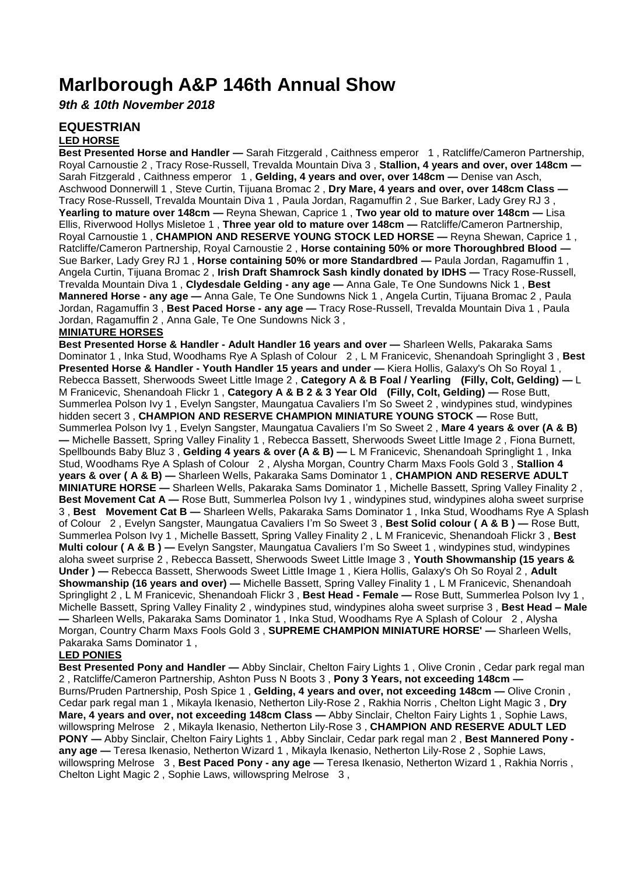# **Marlborough A&P 146th Annual Show**

*9th & 10th November 2018*

# **EQUESTRIAN**

# **LED HORSE**

**Best Presented Horse and Handler —** Sarah Fitzgerald , Caithness emperor 1 , Ratcliffe/Cameron Partnership, Royal Carnoustie 2 , Tracy Rose-Russell, Trevalda Mountain Diva 3 , **Stallion, 4 years and over, over 148cm —** Sarah Fitzgerald , Caithness emperor 1 , **Gelding, 4 years and over, over 148cm —** Denise van Asch, Aschwood Donnerwill 1 , Steve Curtin, Tijuana Bromac 2 , **Dry Mare, 4 years and over, over 148cm Class —** Tracy Rose-Russell, Trevalda Mountain Diva 1 , Paula Jordan, Ragamuffin 2 , Sue Barker, Lady Grey RJ 3 , **Yearling to mature over 148cm —** Reyna Shewan, Caprice 1 , **Two year old to mature over 148cm —** Lisa Ellis, Riverwood Hollys Misletoe 1 , **Three year old to mature over 148cm —** Ratcliffe/Cameron Partnership, Royal Carnoustie 1 , **CHAMPION AND RESERVE YOUNG STOCK LED HORSE —** Reyna Shewan, Caprice 1 , Ratcliffe/Cameron Partnership, Royal Carnoustie 2 , **Horse containing 50% or more Thoroughbred Blood —** Sue Barker, Lady Grey RJ 1 , **Horse containing 50% or more Standardbred —** Paula Jordan, Ragamuffin 1 , Angela Curtin, Tijuana Bromac 2 , **Irish Draft Shamrock Sash kindly donated by IDHS —** Tracy Rose-Russell, Trevalda Mountain Diva 1 , **Clydesdale Gelding - any age —** Anna Gale, Te One Sundowns Nick 1 , **Best Mannered Horse - any age —** Anna Gale, Te One Sundowns Nick 1 , Angela Curtin, Tijuana Bromac 2 , Paula Jordan, Ragamuffin 3 , **Best Paced Horse - any age —** Tracy Rose-Russell, Trevalda Mountain Diva 1 , Paula Jordan, Ragamuffin 2 , Anna Gale, Te One Sundowns Nick 3 ,

### **MINIATURE HORSES**

**Best Presented Horse & Handler - Adult Handler 16 years and over —** Sharleen Wells, Pakaraka Sams Dominator 1 , Inka Stud, Woodhams Rye A Splash of Colour 2 , L M Franicevic, Shenandoah Springlight 3 , **Best Presented Horse & Handler - Youth Handler 15 years and under —** Kiera Hollis, Galaxy's Oh So Royal 1 , Rebecca Bassett, Sherwoods Sweet Little Image 2 , **Category A & B Foal / Yearling (Filly, Colt, Gelding) —** L M Franicevic, Shenandoah Flickr 1 , **Category A & B 2 & 3 Year Old (Filly, Colt, Gelding) —** Rose Butt, Summerlea Polson Ivy 1 , Evelyn Sangster, Maungatua Cavaliers I'm So Sweet 2 , windypines stud, windypines hidden secert 3 , **CHAMPION AND RESERVE CHAMPION MINIATURE YOUNG STOCK —** Rose Butt, Summerlea Polson Ivy 1 , Evelyn Sangster, Maungatua Cavaliers I'm So Sweet 2 , **Mare 4 years & over (A & B) —** Michelle Bassett, Spring Valley Finality 1 , Rebecca Bassett, Sherwoods Sweet Little Image 2 , Fiona Burnett, Spellbounds Baby Bluz 3, Gelding 4 years & over (A & B) — L M Franicevic, Shenandoah Springlight 1, Inka Stud, Woodhams Rye A Splash of Colour 2 , Alysha Morgan, Country Charm Maxs Fools Gold 3 , **Stallion 4 years & over ( A & B) —** Sharleen Wells, Pakaraka Sams Dominator 1 , **CHAMPION AND RESERVE ADULT MINIATURE HORSE —** Sharleen Wells, Pakaraka Sams Dominator 1 , Michelle Bassett, Spring Valley Finality 2 , **Best Movement Cat A —** Rose Butt, Summerlea Polson Ivy 1, windypines stud, windypines aloha sweet surprise 3 , **Best Movement Cat B —** Sharleen Wells, Pakaraka Sams Dominator 1 , Inka Stud, Woodhams Rye A Splash of Colour 2 , Evelyn Sangster, Maungatua Cavaliers I'm So Sweet 3 , **Best Solid colour ( A & B ) —** Rose Butt, Summerlea Polson Ivy 1 , Michelle Bassett, Spring Valley Finality 2 , L M Franicevic, Shenandoah Flickr 3 , **Best Multi colour (A & B ) —** Evelyn Sangster, Maungatua Cavaliers I'm So Sweet 1, windypines stud, windypines aloha sweet surprise 2 , Rebecca Bassett, Sherwoods Sweet Little Image 3 , **Youth Showmanship (15 years & Under ) —** Rebecca Bassett, Sherwoods Sweet Little Image 1 , Kiera Hollis, Galaxy's Oh So Royal 2 , **Adult Showmanship (16 years and over) —** Michelle Bassett, Spring Valley Finality 1 , L M Franicevic, Shenandoah Springlight 2 , L M Franicevic, Shenandoah Flickr 3 , **Best Head - Female —** Rose Butt, Summerlea Polson Ivy 1 , Michelle Bassett, Spring Valley Finality 2 , windypines stud, windypines aloha sweet surprise 3 , **Best Head – Male —** Sharleen Wells, Pakaraka Sams Dominator 1 , Inka Stud, Woodhams Rye A Splash of Colour 2 , Alysha Morgan, Country Charm Maxs Fools Gold 3 , **SUPREME CHAMPION MINIATURE HORSE' —** Sharleen Wells, Pakaraka Sams Dominator 1 ,

# **LED PONIES**

**Best Presented Pony and Handler —** Abby Sinclair, Chelton Fairy Lights 1 , Olive Cronin , Cedar park regal man 2 , Ratcliffe/Cameron Partnership, Ashton Puss N Boots 3 , **Pony 3 Years, not exceeding 148cm —** Burns/Pruden Partnership, Posh Spice 1 , **Gelding, 4 years and over, not exceeding 148cm —** Olive Cronin , Cedar park regal man 1 , Mikayla Ikenasio, Netherton Lily-Rose 2 , Rakhia Norris , Chelton Light Magic 3 , **Dry Mare, 4 years and over, not exceeding 148cm Class —** Abby Sinclair, Chelton Fairy Lights 1 , Sophie Laws, willowspring Melrose 2 , Mikayla Ikenasio, Netherton Lily-Rose 3 , **CHAMPION AND RESERVE ADULT LED PONY —** Abby Sinclair, Chelton Fairy Lights 1 , Abby Sinclair, Cedar park regal man 2 , **Best Mannered Pony any age —** Teresa Ikenasio, Netherton Wizard 1 , Mikayla Ikenasio, Netherton Lily-Rose 2 , Sophie Laws, willowspring Melrose 3 , **Best Paced Pony - any age —** Teresa Ikenasio, Netherton Wizard 1 , Rakhia Norris , Chelton Light Magic 2 , Sophie Laws, willowspring Melrose 3 ,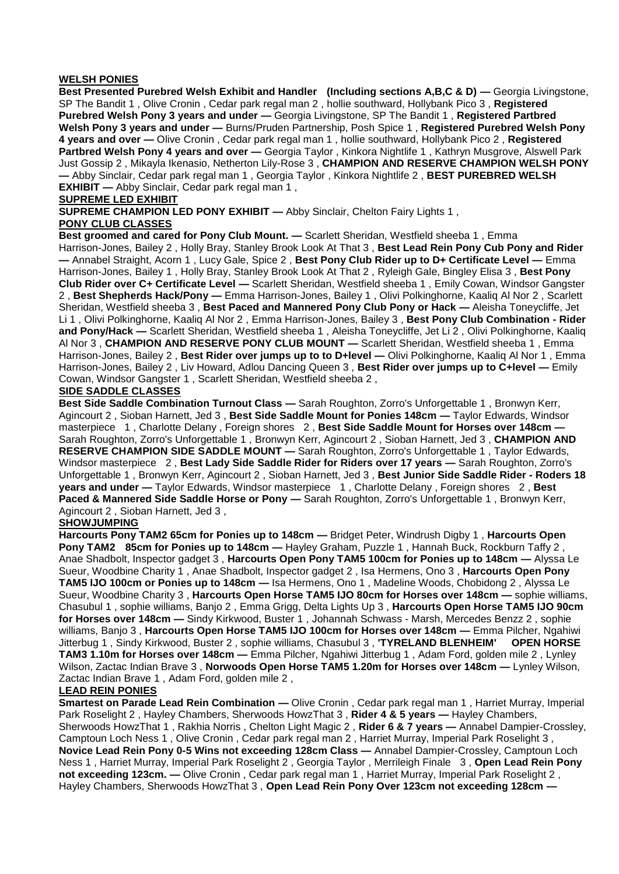#### **WELSH PONIES**

**Best Presented Purebred Welsh Exhibit and Handler (Including sections A,B,C & D) — Georgia Livingstone,** SP The Bandit 1 , Olive Cronin , Cedar park regal man 2 , hollie southward, Hollybank Pico 3 , **Registered Purebred Welsh Pony 3 years and under —** Georgia Livingstone, SP The Bandit 1 , **Registered Partbred Welsh Pony 3 years and under —** Burns/Pruden Partnership, Posh Spice 1 , **Registered Purebred Welsh Pony 4 years and over —** Olive Cronin , Cedar park regal man 1 , hollie southward, Hollybank Pico 2 , **Registered Partbred Welsh Pony 4 years and over —** Georgia Taylor , Kinkora Nightlife 1 , Kathryn Musgrove, Alswell Park Just Gossip 2 , Mikayla Ikenasio, Netherton Lily-Rose 3 , **CHAMPION AND RESERVE CHAMPION WELSH PONY —** Abby Sinclair, Cedar park regal man 1 , Georgia Taylor , Kinkora Nightlife 2 , **BEST PUREBRED WELSH EXHIBIT —** Abby Sinclair, Cedar park regal man 1 ,

#### **SUPREME LED EXHIBIT**

**SUPREME CHAMPION LED PONY EXHIBIT — Abby Sinclair, Chelton Fairy Lights 1. PONY CLUB CLASSES**

**Best groomed and cared for Pony Club Mount. —** Scarlett Sheridan, Westfield sheeba 1 , Emma Harrison-Jones, Bailey 2 , Holly Bray, Stanley Brook Look At That 3 , **Best Lead Rein Pony Cub Pony and Rider —** Annabel Straight, Acorn 1 , Lucy Gale, Spice 2 , **Best Pony Club Rider up to D+ Certificate Level —** Emma Harrison-Jones, Bailey 1 , Holly Bray, Stanley Brook Look At That 2 , Ryleigh Gale, Bingley Elisa 3 , **Best Pony Club Rider over C+ Certificate Level —** Scarlett Sheridan, Westfield sheeba 1 , Emily Cowan, Windsor Gangster 2 , **Best Shepherds Hack/Pony —** Emma Harrison-Jones, Bailey 1 , Olivi Polkinghorne, Kaaliq Al Nor 2 , Scarlett Sheridan, Westfield sheeba 3 , **Best Paced and Mannered Pony Club Pony or Hack —** Aleisha Toneycliffe, Jet Li 1 , Olivi Polkinghorne, Kaaliq Al Nor 2 , Emma Harrison-Jones, Bailey 3 , **Best Pony Club Combination - Rider and Pony/Hack —** Scarlett Sheridan, Westfield sheeba 1 , Aleisha Toneycliffe, Jet Li 2 , Olivi Polkinghorne, Kaaliq Al Nor 3 , **CHAMPION AND RESERVE PONY CLUB MOUNT —** Scarlett Sheridan, Westfield sheeba 1 , Emma Harrison-Jones, Bailey 2 , **Best Rider over jumps up to to D+level —** Olivi Polkinghorne, Kaaliq Al Nor 1 , Emma Harrison-Jones, Bailey 2 , Liv Howard, Adlou Dancing Queen 3 , **Best Rider over jumps up to C+level —** Emily Cowan, Windsor Gangster 1 , Scarlett Sheridan, Westfield sheeba 2 ,

#### **SIDE SADDLE CLASSES**

**Best Side Saddle Combination Turnout Class —** Sarah Roughton, Zorro's Unforgettable 1 , Bronwyn Kerr, Agincourt 2 , Sioban Harnett, Jed 3 , **Best Side Saddle Mount for Ponies 148cm —** Taylor Edwards, Windsor masterpiece 1 , Charlotte Delany , Foreign shores 2 , **Best Side Saddle Mount for Horses over 148cm —** Sarah Roughton, Zorro's Unforgettable 1 , Bronwyn Kerr, Agincourt 2 , Sioban Harnett, Jed 3 , **CHAMPION AND RESERVE CHAMPION SIDE SADDLE MOUNT —** Sarah Roughton, Zorro's Unforgettable 1 , Taylor Edwards, Windsor masterpiece 2 , **Best Lady Side Saddle Rider for Riders over 17 years —** Sarah Roughton, Zorro's Unforgettable 1 , Bronwyn Kerr, Agincourt 2 , Sioban Harnett, Jed 3 , **Best Junior Side Saddle Rider - Roders 18 years and under —** Taylor Edwards, Windsor masterpiece 1 , Charlotte Delany , Foreign shores 2 , **Best Paced & Mannered Side Saddle Horse or Pony —** Sarah Roughton, Zorro's Unforgettable 1 , Bronwyn Kerr, Agincourt 2 , Sioban Harnett, Jed 3 ,

#### **SHOWJUMPING**

**Harcourts Pony TAM2 65cm for Ponies up to 148cm —** Bridget Peter, Windrush Digby 1 , **Harcourts Open Pony TAM2 85cm for Ponies up to 148cm —** Hayley Graham, Puzzle 1 , Hannah Buck, Rockburn Taffy 2 , Anae Shadbolt, Inspector gadget 3 , **Harcourts Open Pony TAM5 100cm for Ponies up to 148cm —** Alyssa Le Sueur, Woodbine Charity 1 , Anae Shadbolt, Inspector gadget 2 , Isa Hermens, Ono 3 , **Harcourts Open Pony TAM5 IJO 100cm or Ponies up to 148cm —** Isa Hermens, Ono 1 , Madeline Woods, Chobidong 2 , Alyssa Le Sueur, Woodbine Charity 3 , **Harcourts Open Horse TAM5 IJO 80cm for Horses over 148cm —** sophie williams, Chasubul 1 , sophie williams, Banjo 2 , Emma Grigg, Delta Lights Up 3 , **Harcourts Open Horse TAM5 IJO 90cm for Horses over 148cm —** Sindy Kirkwood, Buster 1 , Johannah Schwass - Marsh, Mercedes Benzz 2 , sophie williams, Banjo 3 , **Harcourts Open Horse TAM5 IJO 100cm for Horses over 148cm —** Emma Pilcher, Ngahiwi Jitterbug 1 , Sindy Kirkwood, Buster 2 , sophie williams, Chasubul 3 , **'TYRELAND BLENHEIM' OPEN HORSE TAM3 1.10m for Horses over 148cm —** Emma Pilcher, Ngahiwi Jitterbug 1 , Adam Ford, golden mile 2 , Lynley Wilson, Zactac Indian Brave 3 , **Norwoods Open Horse TAM5 1.20m for Horses over 148cm —** Lynley Wilson, Zactac Indian Brave 1 , Adam Ford, golden mile 2 ,

#### **LEAD REIN PONIES**

**Smartest on Parade Lead Rein Combination —** Olive Cronin , Cedar park regal man 1 , Harriet Murray, Imperial Park Roselight 2 , Hayley Chambers, Sherwoods HowzThat 3 , **Rider 4 & 5 years —** Hayley Chambers, Sherwoods HowzThat 1 , Rakhia Norris , Chelton Light Magic 2 , **Rider 6 & 7 years —** Annabel Dampier-Crossley, Camptoun Loch Ness 1 , Olive Cronin , Cedar park regal man 2 , Harriet Murray, Imperial Park Roselight 3 , **Novice Lead Rein Pony 0-5 Wins not exceeding 128cm Class —** Annabel Dampier-Crossley, Camptoun Loch Ness 1 , Harriet Murray, Imperial Park Roselight 2 , Georgia Taylor , Merrileigh Finale 3 , **Open Lead Rein Pony not exceeding 123cm. —** Olive Cronin , Cedar park regal man 1 , Harriet Murray, Imperial Park Roselight 2 , Hayley Chambers, Sherwoods HowzThat 3 , **Open Lead Rein Pony Over 123cm not exceeding 128cm —**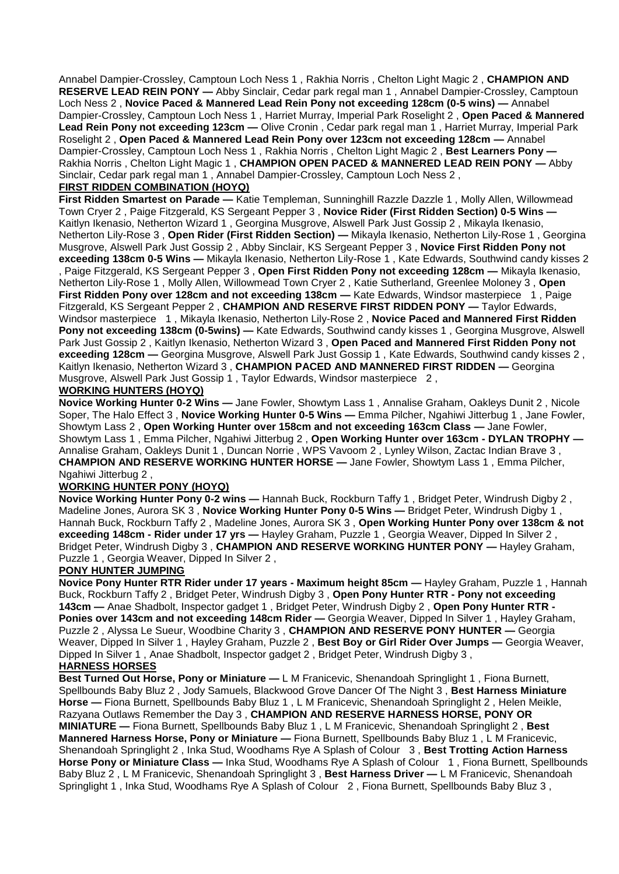Annabel Dampier-Crossley, Camptoun Loch Ness 1 , Rakhia Norris , Chelton Light Magic 2 , **CHAMPION AND RESERVE LEAD REIN PONY —** Abby Sinclair, Cedar park regal man 1 , Annabel Dampier-Crossley, Camptoun Loch Ness 2 , **Novice Paced & Mannered Lead Rein Pony not exceeding 128cm (0-5 wins) —** Annabel Dampier-Crossley, Camptoun Loch Ness 1 , Harriet Murray, Imperial Park Roselight 2 , **Open Paced & Mannered Lead Rein Pony not exceeding 123cm —** Olive Cronin , Cedar park regal man 1 , Harriet Murray, Imperial Park Roselight 2 , **Open Paced & Mannered Lead Rein Pony over 123cm not exceeding 128cm —** Annabel Dampier-Crossley, Camptoun Loch Ness 1 , Rakhia Norris , Chelton Light Magic 2 , **Best Learners Pony —** Rakhia Norris , Chelton Light Magic 1 , **CHAMPION OPEN PACED & MANNERED LEAD REIN PONY —** Abby Sinclair, Cedar park regal man 1 , Annabel Dampier-Crossley, Camptoun Loch Ness 2 ,

# **FIRST RIDDEN COMBINATION (HOYQ)**

**First Ridden Smartest on Parade —** Katie Templeman, Sunninghill Razzle Dazzle 1 , Molly Allen, Willowmead Town Cryer 2 , Paige Fitzgerald, KS Sergeant Pepper 3 , **Novice Rider (First Ridden Section) 0-5 Wins —** Kaitlyn Ikenasio, Netherton Wizard 1 , Georgina Musgrove, Alswell Park Just Gossip 2 , Mikayla Ikenasio, Netherton Lily-Rose 3 , **Open Rider (First Ridden Section) —** Mikayla Ikenasio, Netherton Lily-Rose 1 , Georgina Musgrove, Alswell Park Just Gossip 2 , Abby Sinclair, KS Sergeant Pepper 3 , **Novice First Ridden Pony not exceeding 138cm 0-5 Wins —** Mikayla Ikenasio, Netherton Lily-Rose 1 , Kate Edwards, Southwind candy kisses 2

, Paige Fitzgerald, KS Sergeant Pepper 3 , **Open First Ridden Pony not exceeding 128cm —** Mikayla Ikenasio, Netherton Lily-Rose 1 , Molly Allen, Willowmead Town Cryer 2 , Katie Sutherland, Greenlee Moloney 3 , **Open First Ridden Pony over 128cm and not exceeding 138cm —** Kate Edwards, Windsor masterpiece 1 , Paige Fitzgerald, KS Sergeant Pepper 2 , **CHAMPION AND RESERVE FIRST RIDDEN PONY —** Taylor Edwards, Windsor masterpiece 1 , Mikayla Ikenasio, Netherton Lily-Rose 2 , **Novice Paced and Mannered First Ridden Pony not exceeding 138cm (0-5wins) — Kate Edwards, Southwind candy kisses 1, Georgina Musgrove, Alswell** Park Just Gossip 2 , Kaitlyn Ikenasio, Netherton Wizard 3 , **Open Paced and Mannered First Ridden Pony not exceeding 128cm —** Georgina Musgrove, Alswell Park Just Gossip 1 , Kate Edwards, Southwind candy kisses 2 , Kaitlyn Ikenasio, Netherton Wizard 3 , **CHAMPION PACED AND MANNERED FIRST RIDDEN —** Georgina Musgrove, Alswell Park Just Gossip 1 , Taylor Edwards, Windsor masterpiece 2 ,

# **WORKING HUNTERS (HOYQ)**

**Novice Working Hunter 0-2 Wins —** Jane Fowler, Showtym Lass 1 , Annalise Graham, Oakleys Dunit 2 , Nicole Soper, The Halo Effect 3 , **Novice Working Hunter 0-5 Wins —** Emma Pilcher, Ngahiwi Jitterbug 1 , Jane Fowler, Showtym Lass 2 , **Open Working Hunter over 158cm and not exceeding 163cm Class —** Jane Fowler, Showtym Lass 1 , Emma Pilcher, Ngahiwi Jitterbug 2 , **Open Working Hunter over 163cm - DYLAN TROPHY —** Annalise Graham, Oakleys Dunit 1, Duncan Norrie, WPS Vavoom 2, Lynley Wilson, Zactac Indian Brave 3, **CHAMPION AND RESERVE WORKING HUNTER HORSE —** Jane Fowler, Showtym Lass 1 , Emma Pilcher, Ngahiwi Jitterbug 2 ,

#### **WORKING HUNTER PONY (HOYQ)**

**Novice Working Hunter Pony 0-2 wins —** Hannah Buck, Rockburn Taffy 1 , Bridget Peter, Windrush Digby 2 , Madeline Jones, Aurora SK 3, **Novice Working Hunter Pony 0-5 Wins —** Bridget Peter, Windrush Digby 1 Hannah Buck, Rockburn Taffy 2 , Madeline Jones, Aurora SK 3 , **Open Working Hunter Pony over 138cm & not exceeding 148cm - Rider under 17 yrs —** Hayley Graham, Puzzle 1 , Georgia Weaver, Dipped In Silver 2 , Bridget Peter, Windrush Digby 3 , **CHAMPION AND RESERVE WORKING HUNTER PONY —** Hayley Graham, Puzzle 1 , Georgia Weaver, Dipped In Silver 2 ,

#### **PONY HUNTER JUMPING**

**Novice Pony Hunter RTR Rider under 17 years - Maximum height 85cm —** Hayley Graham, Puzzle 1 , Hannah Buck, Rockburn Taffy 2 , Bridget Peter, Windrush Digby 3 , **Open Pony Hunter RTR - Pony not exceeding 143cm —** Anae Shadbolt, Inspector gadget 1 , Bridget Peter, Windrush Digby 2 , **Open Pony Hunter RTR - Ponies over 143cm and not exceeding 148cm Rider —** Georgia Weaver, Dipped In Silver 1 , Hayley Graham, Puzzle 2 , Alyssa Le Sueur, Woodbine Charity 3 , **CHAMPION AND RESERVE PONY HUNTER —** Georgia Weaver, Dipped In Silver 1 , Hayley Graham, Puzzle 2 , **Best Boy or Girl Rider Over Jumps —** Georgia Weaver, Dipped In Silver 1 , Anae Shadbolt, Inspector gadget 2 , Bridget Peter, Windrush Digby 3 ,

# **HARNESS HORSES**

**Best Turned Out Horse, Pony or Miniature —** L M Franicevic, Shenandoah Springlight 1 , Fiona Burnett, Spellbounds Baby Bluz 2 , Jody Samuels, Blackwood Grove Dancer Of The Night 3 , **Best Harness Miniature Horse —** Fiona Burnett, Spellbounds Baby Bluz 1 , L M Franicevic, Shenandoah Springlight 2 , Helen Meikle, Razyana Outlaws Remember the Day 3 , **CHAMPION AND RESERVE HARNESS HORSE, PONY OR MINIATURE —** Fiona Burnett, Spellbounds Baby Bluz 1 , L M Franicevic, Shenandoah Springlight 2 , **Best Mannered Harness Horse, Pony or Miniature —** Fiona Burnett, Spellbounds Baby Bluz 1 , L M Franicevic, Shenandoah Springlight 2 , Inka Stud, Woodhams Rye A Splash of Colour 3 , **Best Trotting Action Harness Horse Pony or Miniature Class —** Inka Stud, Woodhams Rye A Splash of Colour 1 , Fiona Burnett, Spellbounds Baby Bluz 2 , L M Franicevic, Shenandoah Springlight 3 , **Best Harness Driver —** L M Franicevic, Shenandoah Springlight 1 , Inka Stud, Woodhams Rye A Splash of Colour 2 , Fiona Burnett, Spellbounds Baby Bluz 3 ,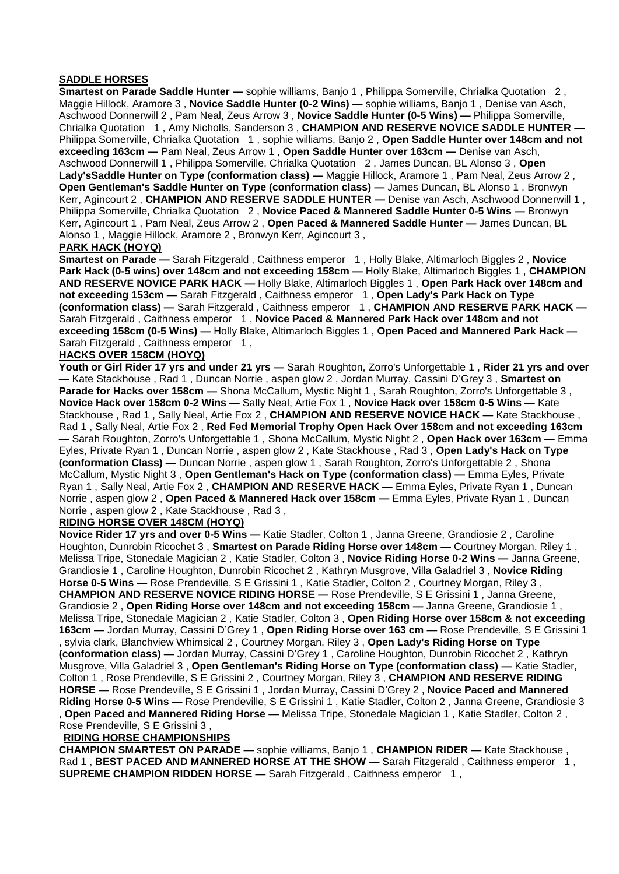#### **SADDLE HORSES**

**Smartest on Parade Saddle Hunter —** sophie williams, Banjo 1 , Philippa Somerville, Chrialka Quotation 2 , Maggie Hillock, Aramore 3 , **Novice Saddle Hunter (0-2 Wins) —** sophie williams, Banjo 1 , Denise van Asch, Aschwood Donnerwill 2 , Pam Neal, Zeus Arrow 3 , **Novice Saddle Hunter (0-5 Wins) —** Philippa Somerville, Chrialka Quotation 1 , Amy Nicholls, Sanderson 3 , **CHAMPION AND RESERVE NOVICE SADDLE HUNTER —** Philippa Somerville, Chrialka Quotation 1 , sophie williams, Banjo 2 , **Open Saddle Hunter over 148cm and not exceeding 163cm —** Pam Neal, Zeus Arrow 1 , **Open Saddle Hunter over 163cm —** Denise van Asch, Aschwood Donnerwill 1 , Philippa Somerville, Chrialka Quotation 2 , James Duncan, BL Alonso 3 , **Open Lady'sSaddle Hunter on Type (conformation class) —** Maggie Hillock, Aramore 1 , Pam Neal, Zeus Arrow 2 , **Open Gentleman's Saddle Hunter on Type (conformation class) —** James Duncan, BL Alonso 1 , Bronwyn Kerr, Agincourt 2 , **CHAMPION AND RESERVE SADDLE HUNTER —** Denise van Asch, Aschwood Donnerwill 1 , Philippa Somerville, Chrialka Quotation 2 , **Novice Paced & Mannered Saddle Hunter 0-5 Wins —** Bronwyn Kerr, Agincourt 1 , Pam Neal, Zeus Arrow 2 , **Open Paced & Mannered Saddle Hunter —** James Duncan, BL Alonso 1 , Maggie Hillock, Aramore 2 , Bronwyn Kerr, Agincourt 3 ,

#### **PARK HACK (HOYQ)**

**Smartest on Parade —** Sarah Fitzgerald , Caithness emperor 1 , Holly Blake, Altimarloch Biggles 2 , **Novice Park Hack (0-5 wins) over 148cm and not exceeding 158cm —** Holly Blake, Altimarloch Biggles 1 , **CHAMPION AND RESERVE NOVICE PARK HACK —** Holly Blake, Altimarloch Biggles 1 , **Open Park Hack over 148cm and not exceeding 153cm —** Sarah Fitzgerald , Caithness emperor 1 , **Open Lady's Park Hack on Type (conformation class) —** Sarah Fitzgerald , Caithness emperor 1 , **CHAMPION AND RESERVE PARK HACK —** Sarah Fitzgerald, Caithness emperor 1, Novice Paced & Mannered Park Hack over 148cm and not **exceeding 158cm (0-5 Wins) —** Holly Blake, Altimarloch Biggles 1 , **Open Paced and Mannered Park Hack —** Sarah Fitzgerald, Caithness emperor 1,

#### **HACKS OVER 158CM (HOYQ)**

**Youth or Girl Rider 17 yrs and under 21 yrs —** Sarah Roughton, Zorro's Unforgettable 1 , **Rider 21 yrs and over —** Kate Stackhouse , Rad 1 , Duncan Norrie , aspen glow 2 , Jordan Murray, Cassini D'Grey 3 , **Smartest on**  Parade for Hacks over 158cm - Shona McCallum, Mystic Night 1, Sarah Roughton, Zorro's Unforgettable 3, **Novice Hack over 158cm 0-2 Wins —** Sally Neal, Artie Fox 1 , **Novice Hack over 158cm 0-5 Wins —** Kate Stackhouse , Rad 1 , Sally Neal, Artie Fox 2 , **CHAMPION AND RESERVE NOVICE HACK —** Kate Stackhouse , Rad 1 , Sally Neal, Artie Fox 2 , **Red Fed Memorial Trophy Open Hack Over 158cm and not exceeding 163cm —** Sarah Roughton, Zorro's Unforgettable 1 , Shona McCallum, Mystic Night 2 , **Open Hack over 163cm —** Emma Eyles, Private Ryan 1 , Duncan Norrie , aspen glow 2 , Kate Stackhouse , Rad 3 , **Open Lady's Hack on Type (conformation Class) —** Duncan Norrie , aspen glow 1 , Sarah Roughton, Zorro's Unforgettable 2 , Shona McCallum, Mystic Night 3 , **Open Gentleman's Hack on Type (conformation class) —** Emma Eyles, Private Ryan 1 , Sally Neal, Artie Fox 2 , **CHAMPION AND RESERVE HACK —** Emma Eyles, Private Ryan 1 , Duncan Norrie , aspen glow 2 , **Open Paced & Mannered Hack over 158cm —** Emma Eyles, Private Ryan 1 , Duncan Norrie , aspen glow 2 , Kate Stackhouse , Rad 3 ,

# **RIDING HORSE OVER 148CM (HOYQ)**

**Novice Rider 17 yrs and over 0-5 Wins —** Katie Stadler, Colton 1 , Janna Greene, Grandiosie 2 , Caroline Houghton, Dunrobin Ricochet 3 , **Smartest on Parade Riding Horse over 148cm —** Courtney Morgan, Riley 1 , Melissa Tripe, Stonedale Magician 2 , Katie Stadler, Colton 3 , **Novice Riding Horse 0-2 Wins —** Janna Greene, Grandiosie 1 , Caroline Houghton, Dunrobin Ricochet 2 , Kathryn Musgrove, Villa Galadriel 3 , **Novice Riding Horse 0-5 Wins —** Rose Prendeville, S E Grissini 1 , Katie Stadler, Colton 2 , Courtney Morgan, Riley 3 , **CHAMPION AND RESERVE NOVICE RIDING HORSE —** Rose Prendeville, S E Grissini 1 , Janna Greene, Grandiosie 2 , **Open Riding Horse over 148cm and not exceeding 158cm —** Janna Greene, Grandiosie 1 , Melissa Tripe, Stonedale Magician 2 , Katie Stadler, Colton 3 , **Open Riding Horse over 158cm & not exceeding 163cm —** Jordan Murray, Cassini D'Grey 1 , **Open Riding Horse over 163 cm —** Rose Prendeville, S E Grissini 1 , sylvia clark, Blanchview Whimsical 2 , Courtney Morgan, Riley 3 , **Open Lady's Riding Horse on Type (conformation class) —** Jordan Murray, Cassini D'Grey 1 , Caroline Houghton, Dunrobin Ricochet 2 , Kathryn Musgrove, Villa Galadriel 3 , **Open Gentleman's Riding Horse on Type (conformation class) —** Katie Stadler, Colton 1 , Rose Prendeville, S E Grissini 2 , Courtney Morgan, Riley 3 , **CHAMPION AND RESERVE RIDING HORSE —** Rose Prendeville, S E Grissini 1 , Jordan Murray, Cassini D'Grey 2 , **Novice Paced and Mannered Riding Horse 0-5 Wins —** Rose Prendeville, S E Grissini 1 , Katie Stadler, Colton 2 , Janna Greene, Grandiosie 3 , **Open Paced and Mannered Riding Horse —** Melissa Tripe, Stonedale Magician 1 , Katie Stadler, Colton 2 , Rose Prendeville, S E Grissini 3 ,

#### **RIDING HORSE CHAMPIONSHIPS**

**CHAMPION SMARTEST ON PARADE —** sophie williams, Banjo 1 , **CHAMPION RIDER —** Kate Stackhouse , Rad 1, **BEST PACED AND MANNERED HORSE AT THE SHOW** — Sarah Fitzgerald, Caithness emperor 1, **SUPREME CHAMPION RIDDEN HORSE — Sarah Fitzgerald, Caithness emperor 1,**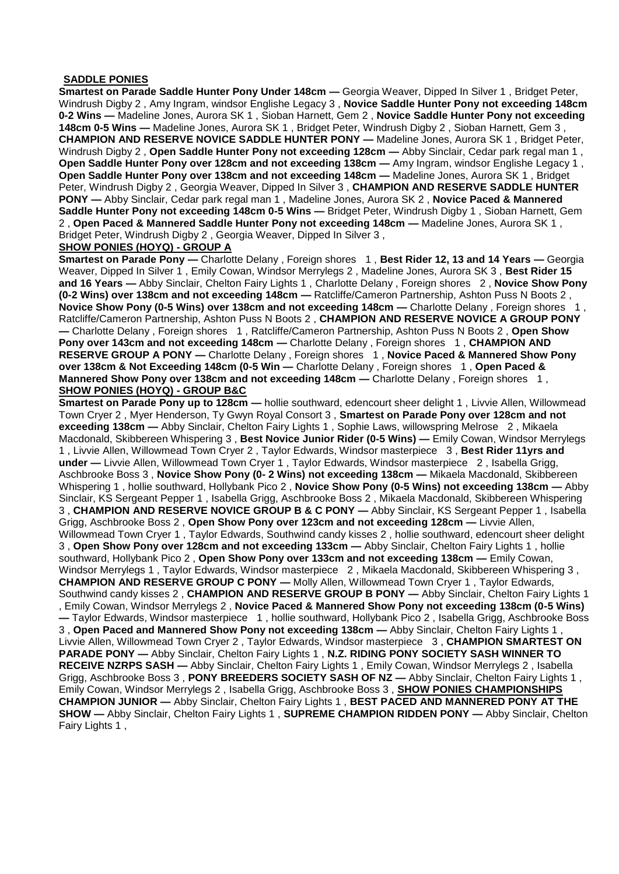#### **SADDLE PONIES**

**Smartest on Parade Saddle Hunter Pony Under 148cm —** Georgia Weaver, Dipped In Silver 1 , Bridget Peter, Windrush Digby 2 , Amy Ingram, windsor Englishe Legacy 3 , **Novice Saddle Hunter Pony not exceeding 148cm 0-2 Wins —** Madeline Jones, Aurora SK 1 , Sioban Harnett, Gem 2 , **Novice Saddle Hunter Pony not exceeding 148cm 0-5 Wins —** Madeline Jones, Aurora SK 1 , Bridget Peter, Windrush Digby 2 , Sioban Harnett, Gem 3 , **CHAMPION AND RESERVE NOVICE SADDLE HUNTER PONY —** Madeline Jones, Aurora SK 1 , Bridget Peter, Windrush Digby 2 , **Open Saddle Hunter Pony not exceeding 128cm —** Abby Sinclair, Cedar park regal man 1 , **Open Saddle Hunter Pony over 128cm and not exceeding 138cm —** Amy Ingram, windsor Englishe Legacy 1 , **Open Saddle Hunter Pony over 138cm and not exceeding 148cm —** Madeline Jones, Aurora SK 1 , Bridget Peter, Windrush Digby 2 , Georgia Weaver, Dipped In Silver 3 , **CHAMPION AND RESERVE SADDLE HUNTER PONY —** Abby Sinclair, Cedar park regal man 1 , Madeline Jones, Aurora SK 2 , **Novice Paced & Mannered Saddle Hunter Pony not exceeding 148cm 0-5 Wins —** Bridget Peter, Windrush Digby 1 , Sioban Harnett, Gem 2 , **Open Paced & Mannered Saddle Hunter Pony not exceeding 148cm —** Madeline Jones, Aurora SK 1 , Bridget Peter, Windrush Digby 2 , Georgia Weaver, Dipped In Silver 3 ,

# **SHOW PONIES (HOYQ) - GROUP A**

**Smartest on Parade Pony —** Charlotte Delany , Foreign shores 1 , **Best Rider 12, 13 and 14 Years —** Georgia Weaver, Dipped In Silver 1 , Emily Cowan, Windsor Merrylegs 2 , Madeline Jones, Aurora SK 3 , **Best Rider 15 and 16 Years —** Abby Sinclair, Chelton Fairy Lights 1 , Charlotte Delany , Foreign shores 2 , **Novice Show Pony (0-2 Wins) over 138cm and not exceeding 148cm —** Ratcliffe/Cameron Partnership, Ashton Puss N Boots 2 , **Novice Show Pony (0-5 Wins) over 138cm and not exceeding 148cm —** Charlotte Delany , Foreign shores 1 , Ratcliffe/Cameron Partnership, Ashton Puss N Boots 2 , **CHAMPION AND RESERVE NOVICE A GROUP PONY —** Charlotte Delany , Foreign shores 1 , Ratcliffe/Cameron Partnership, Ashton Puss N Boots 2 , **Open Show Pony over 143cm and not exceeding 148cm —** Charlotte Delany , Foreign shores 1 , **CHAMPION AND RESERVE GROUP A PONY —** Charlotte Delany , Foreign shores 1 , **Novice Paced & Mannered Show Pony over 138cm & Not Exceeding 148cm (0-5 Win —** Charlotte Delany , Foreign shores 1 , **Open Paced & Mannered Show Pony over 138cm and not exceeding 148cm — Charlotte Delany, Foreign shores 1, SHOW PONIES (HOYQ) - GROUP B&C**

**Smartest on Parade Pony up to 128cm —** hollie southward, edencourt sheer delight 1 , Livvie Allen, Willowmead Town Cryer 2 , Myer Henderson, Ty Gwyn Royal Consort 3 , **Smartest on Parade Pony over 128cm and not exceeding 138cm —** Abby Sinclair, Chelton Fairy Lights 1 , Sophie Laws, willowspring Melrose 2 , Mikaela Macdonald, Skibbereen Whispering 3 , **Best Novice Junior Rider (0-5 Wins) —** Emily Cowan, Windsor Merrylegs 1 , Livvie Allen, Willowmead Town Cryer 2 , Taylor Edwards, Windsor masterpiece 3 , **Best Rider 11yrs and under —** Livvie Allen, Willowmead Town Cryer 1 , Taylor Edwards, Windsor masterpiece 2 , Isabella Grigg, Aschbrooke Boss 3 , **Novice Show Pony (0- 2 Wins) not exceeding 138cm —** Mikaela Macdonald, Skibbereen Whispering 1 , hollie southward, Hollybank Pico 2 , **Novice Show Pony (0-5 Wins) not exceeding 138cm —** Abby Sinclair, KS Sergeant Pepper 1 , Isabella Grigg, Aschbrooke Boss 2 , Mikaela Macdonald, Skibbereen Whispering 3 , **CHAMPION AND RESERVE NOVICE GROUP B & C PONY —** Abby Sinclair, KS Sergeant Pepper 1 , Isabella Grigg, Aschbrooke Boss 2 , **Open Show Pony over 123cm and not exceeding 128cm —** Livvie Allen, Willowmead Town Cryer 1 , Taylor Edwards, Southwind candy kisses 2 , hollie southward, edencourt sheer delight 3 , **Open Show Pony over 128cm and not exceeding 133cm —** Abby Sinclair, Chelton Fairy Lights 1 , hollie southward, Hollybank Pico 2 , **Open Show Pony over 133cm and not exceeding 138cm —** Emily Cowan, Windsor Merrylegs 1 , Taylor Edwards, Windsor masterpiece 2 , Mikaela Macdonald, Skibbereen Whispering 3 , **CHAMPION AND RESERVE GROUP C PONY —** Molly Allen, Willowmead Town Cryer 1 , Taylor Edwards, Southwind candy kisses 2 , **CHAMPION AND RESERVE GROUP B PONY —** Abby Sinclair, Chelton Fairy Lights 1 , Emily Cowan, Windsor Merrylegs 2 , **Novice Paced & Mannered Show Pony not exceeding 138cm (0-5 Wins) —** Taylor Edwards, Windsor masterpiece 1 , hollie southward, Hollybank Pico 2 , Isabella Grigg, Aschbrooke Boss 3 , **Open Paced and Mannered Show Pony not exceeding 138cm —** Abby Sinclair, Chelton Fairy Lights 1 , Livvie Allen, Willowmead Town Cryer 2 , Taylor Edwards, Windsor masterpiece 3 , **CHAMPION SMARTEST ON PARADE PONY —** Abby Sinclair, Chelton Fairy Lights 1 , **N.Z. RIDING PONY SOCIETY SASH WINNER TO RECEIVE NZRPS SASH —** Abby Sinclair, Chelton Fairy Lights 1 , Emily Cowan, Windsor Merrylegs 2 , Isabella Grigg, Aschbrooke Boss 3 , **PONY BREEDERS SOCIETY SASH OF NZ —** Abby Sinclair, Chelton Fairy Lights 1 , Emily Cowan, Windsor Merrylegs 2 , Isabella Grigg, Aschbrooke Boss 3 , **SHOW PONIES CHAMPIONSHIPS CHAMPION JUNIOR —** Abby Sinclair, Chelton Fairy Lights 1 , **BEST PACED AND MANNERED PONY AT THE SHOW —** Abby Sinclair, Chelton Fairy Lights 1 , **SUPREME CHAMPION RIDDEN PONY —** Abby Sinclair, Chelton Fairy Lights 1 ,